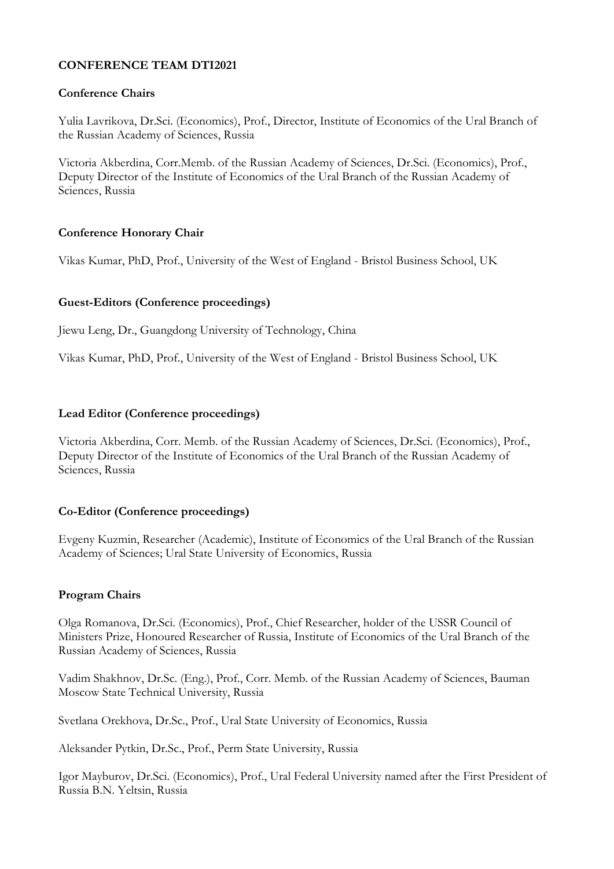## **CONFERENCE TEAM DTI2021**

## **Conference Chairs**

Yulia Lavrikova, Dr.Sci. (Economics), Prof., Director, Institute of Economics of the Ural Branch of the Russian Academy of Sciences, Russia

Victoria Akberdina, Corr.Memb. of the Russian Academy of Sciences, Dr.Sci. (Economics), Prof., Deputy Director of the Institute of Economics of the Ural Branch of the Russian Academy of Sciences, Russia

## **Conference Honorary Chair**

Vikas Kumar, PhD, Prof., University of the West of England - Bristol Business School, UK

# **Guest-Editors (Conference proceedings)**

Jiewu Leng, Dr., Guangdong University of Technology, China

Vikas Kumar, PhD, Prof., University of the West of England - Bristol Business School, UK

## **Lead Editor (Conference proceedings)**

Victoria Akberdina, Corr. Memb. of the Russian Academy of Sciences, Dr.Sci. (Economics), Prof., Deputy Director of the Institute of Economics of the Ural Branch of the Russian Academy of Sciences, Russia

## **Co-Editor (Conference proceedings)**

Evgeny Kuzmin, Researcher (Academic), Institute of Economics of the Ural Branch of the Russian Academy of Sciences; Ural State University of Economics, Russia

## **Program Chairs**

Olga Romanova, Dr.Sci. (Economics), Prof., Chief Researcher, holder of the USSR Council of Ministers Prize, Honoured Researcher of Russia, Institute of Economics of the Ural Branch of the Russian Academy of Sciences, Russia

Vadim Shakhnov, Dr.Sc. (Eng.), Prof., Corr. Memb. of the Russian Academy of Sciences, Bauman Moscow State Technical University, Russia

Svetlana Orekhova, Dr.Sc., Prof., Ural State University of Economics, Russia

Aleksander Pytkin, Dr.Sc., Prof., Perm State University, Russia

Igor Mayburov, Dr.Sci. (Economics), Prof., Ural Federal University named after the First President of Russia B.N. Yeltsin, Russia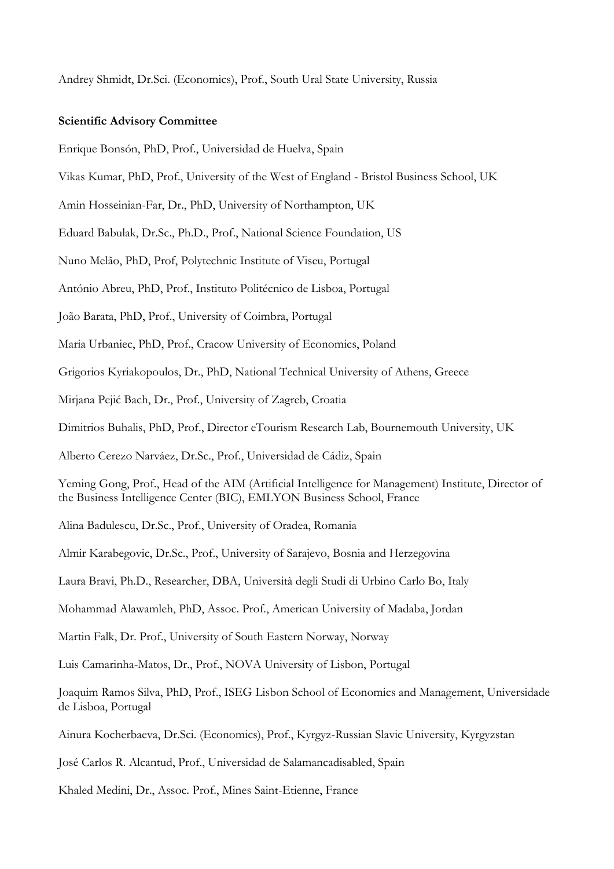Andrey Shmidt, Dr.Sci. (Economics), Prof., South Ural State University, Russia

#### **Scientific Advisory Committee**

Enrique Bonsón, PhD, Prof., Universidad de Huelva, Spain

Vikas Kumar, PhD, Prof., University of the West of England - Bristol Business School, UK

Amin Hosseinian-Far, Dr., PhD, University of Northampton, UK

Eduard Babulak, Dr.Sc., Ph.D., Prof., National Science Foundation, US

Nuno Melão, PhD, Prof, Polytechnic Institute of Viseu, Portugal

António Abreu, PhD, Prof., Instituto Politécnico de Lisboa, Portugal

João Barata, PhD, Prof., University of Coimbra, Portugal

Maria Urbaniec, PhD, Prof., Cracow University of Economics, Poland

Grigorios Kyriakopoulos, Dr., PhD, National Technical University of Athens, Greece

Mirjana Pejić Bach, Dr., Prof., University of Zagreb, Croatia

Dimitrios Buhalis, PhD, Prof., Director eTourism Research Lab, Bournemouth University, UK

Alberto Cerezo Narváez, Dr.Sc., Prof., Universidad de Cádiz, Spain

Yeming Gong, Prof., Head of the AIM (Artificial Intelligence for Management) Institute, Director of the Business Intelligence Center (BIC), EMLYON Business School, France

Alina Badulescu, Dr.Sc., Prof., University of Oradea, Romania

Almir Karabegovic, Dr.Sc., Prof., University of Sarajevo, Bosnia and Herzegovina

Laura Bravi, Ph.D., Researcher, DBA, Università degli Studi di Urbino Carlo Bo, Italy

Mohammad Alawamleh, PhD, Assoc. Prof., American University of Madaba, Jordan

Martin Falk, Dr. Prof., University of South Eastern Norway, Norway

Luis Camarinha-Matos, Dr., Prof., NOVA University of Lisbon, Portugal

Joaquim Ramos Silva, PhD, Prof., ISEG Lisbon School of Economics and Management, Universidade de Lisboa, Portugal

Ainura Kocherbaeva, Dr.Sci. (Economics), Prof., Kyrgyz-Russian Slavic University, Kyrgyzstan

José Carlos R. Alcantud, Prof., Universidad de Salamancadisabled, Spain

Khaled Medini, Dr., Assoc. Prof., Mines Saint-Etienne, France